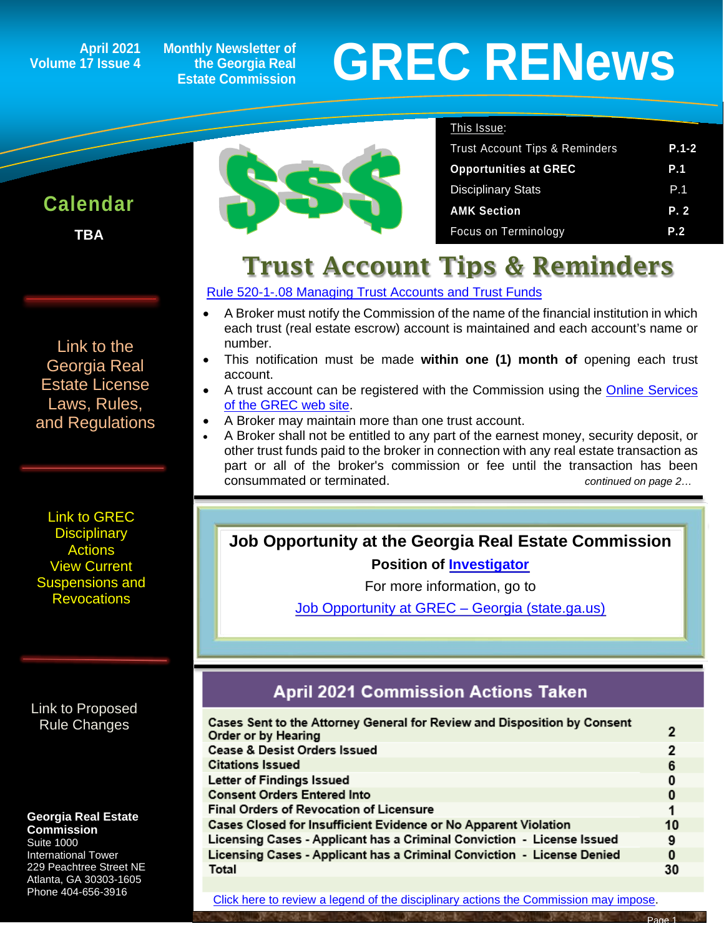### **April 2021 Volume 17 Issue 4**

**Calendar**

ĺ

**TBA**

**Monthly Newsletter of the Georgia Real Estate Commission**

# **GREC RENewsGREC RENews**

### This Issue:

| <b>Trust Account Tips &amp; Reminders</b> | $P.1-2$ |
|-------------------------------------------|---------|
| <b>Opportunities at GREC</b>              | P.1     |
| <b>Disciplinary Stats</b>                 | P.1     |
| <b>AMK Section</b>                        | P.2     |
| Focus on Terminology                      | P.2     |

## Trust Account Tips & Reminders

### [Rule 520-1-.08 Managing Trust Accounts and Trust Funds](https://grec.state.ga.us/information-research/license-law/)

- A Broker must notify the Commission of the name of the financial institution in which each trust (real estate escrow) account is maintained and each account's name or number.
- This notification must be made **within one (1) month of** opening each trust account.
- A trust account can be registered with the Commission using the **Online Services** [of the GREC web site.](https://ata.grec.state.ga.us/)
- A Broker may maintain more than one trust account.
- A Broker shall not be entitled to any part of the earnest money, security deposit, or other trust funds paid to the broker in connection with any real estate transaction as part or all of the broker's commission or fee until the transaction has been consummated or terminated. *continued on page 2…*

### **Job Opportunity at the Georgia Real Estate Commission**

**Position of [Investigator](https://grec.state.ga.us/job-opportunity-at-grec/)**

For more information, go to

[Job Opportunity at GREC –](https://grec.state.ga.us/job-opportunity-at-grec/) Georgia (state.ga.us[\)](https://grec.state.ga.us/job-opportunity-at-grec/)

### **April 2021 Commission Actions Taken**

| Cases Sent to the Attorney General for Review and Disposition by Consent<br>Order or by Hearing | 2              |
|-------------------------------------------------------------------------------------------------|----------------|
| <b>Cease &amp; Desist Orders Issued</b>                                                         | $\overline{2}$ |
| <b>Citations Issued</b>                                                                         | 6              |
| Letter of Findings Issued                                                                       | 0              |
| <b>Consent Orders Entered Into</b>                                                              | 0              |
| <b>Final Orders of Revocation of Licensure</b>                                                  |                |
| Cases Closed for Insufficient Evidence or No Apparent Violation                                 | 10             |
| Licensing Cases - Applicant has a Criminal Conviction - License Issued                          | 9              |
| Licensing Cases - Applicant has a Criminal Conviction - License Denied                          | 0              |
| Total                                                                                           | 30             |
|                                                                                                 |                |

[Link to the](https://grec.state.ga.us/information-research/license-law/)  [Georgia Real](https://grec.state.ga.us/information-research/license-law/)  [Estate License](https://grec.state.ga.us/information-research/license-law/)  [Laws, Rules,](https://grec.state.ga.us/information-research/license-law/)  [and Regulations](https://grec.state.ga.us/information-research/license-law/)

[Link to GREC](http://www.grec.state.ga.us/about/resanctions.html)  **Disciplinary [Actions](http://www.grec.state.ga.us/about/resanctions.html)** View Current [Suspensions and](https://grec.state.ga.us/information-research/disciplinary-actions/real-estate/)  **Revocations** 

[Link to Proposed](https://grec.state.ga.us/information-research/disciplinary-actions/real-estate/)  [Rule Changes](https://grec.state.ga.us/information-research/legislation/real-estate/)

### **Georgia Real Estate Commission**

Suite 1000 International Tower 229 Peachtree Street NE Atlanta, GA 30303-1605 Phone 404-656-3916

[Click here to review a legend of the disciplinary actions the Commission may impose.](https://www.jmre.com/grec/GRECDisciplinaryTools.pdf)

Page 1